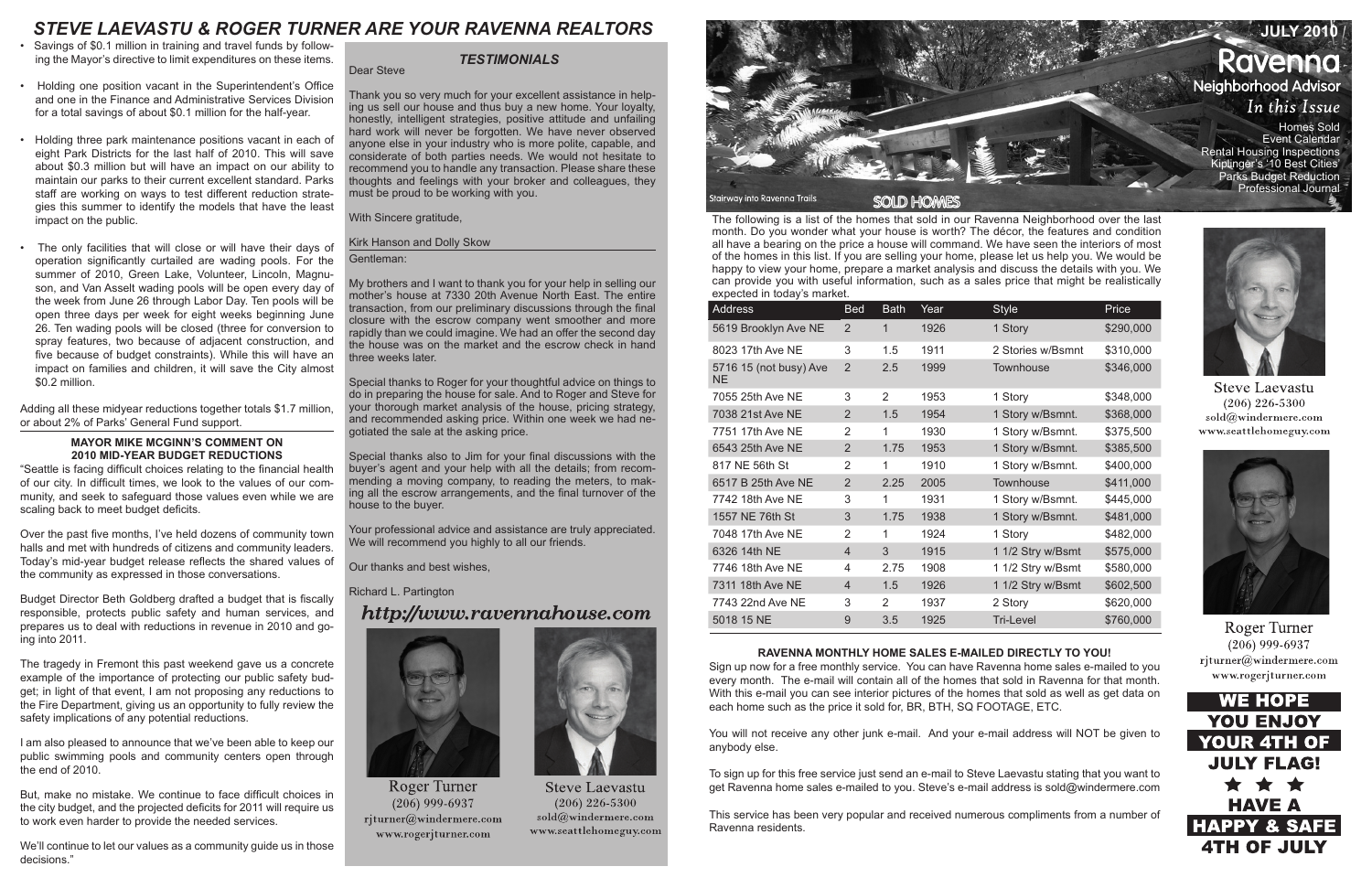The following is a list of the homes that sold in our Ravenna Neighborhood over the last month. Do you wonder what your house is worth? The décor, the features and condition all have a bearing on the price a house will command. We have seen the interiors of most of the homes in this list. If you are selling your home, please let us help you. We would be happy to view your home, prepare a market analysis and discuss the details with you. We can provide you with useful information, such as a sales price that might be realistically expected in today's market.

| Address                       | <b>Bed</b>     | Bath           | Year | <b>Style</b>      | Price     |
|-------------------------------|----------------|----------------|------|-------------------|-----------|
| 5619 Brooklyn Ave NE          | 2              | 1              | 1926 | 1 Story           | \$290,000 |
| 8023 17th Ave NE              | 3              | 1.5            | 1911 | 2 Stories w/Bsmnt | \$310,000 |
| 5716 15 (not busy) Ave<br>NE. | 2              | 2.5            | 1999 | <b>Townhouse</b>  | \$346,000 |
| 7055 25th Ave NE              | 3              | $\overline{2}$ | 1953 | 1 Story           | \$348,000 |
| 7038 21st Ave NE              | 2              | 1.5            | 1954 | 1 Story w/Bsmnt.  | \$368,000 |
| 7751 17th Ave NE              | 2              | 1              | 1930 | 1 Story w/Bsmnt.  | \$375,500 |
| 6543 25th Ave NE              | $\overline{2}$ | 1.75           | 1953 | 1 Story w/Bsmnt.  | \$385,500 |
| 817 NE 56th St                | 2              | 1              | 1910 | 1 Story w/Bsmnt.  | \$400,000 |
| 6517 B 25th Ave NE            | $\overline{2}$ | 2.25           | 2005 | <b>Townhouse</b>  | \$411,000 |
| 7742 18th Ave NE              | 3              | 1              | 1931 | 1 Story w/Bsmnt.  | \$445,000 |
| 1557 NE 76th St               | 3              | 1.75           | 1938 | 1 Story w/Bsmnt.  | \$481,000 |
| 7048 17th Ave NE              | 2              | 1              | 1924 | 1 Story           | \$482,000 |
| 6326 14th NE                  | $\overline{4}$ | 3              | 1915 | 1 1/2 Stry w/Bsmt | \$575,000 |
| 7746 18th Ave NE              | 4              | 2.75           | 1908 | 1 1/2 Stry w/Bsmt | \$580,000 |
| 7311 18th Ave NE              | $\overline{4}$ | 1.5            | 1926 | 1 1/2 Stry w/Bsmt | \$602,500 |
| 7743 22nd Ave NE              | 3              | 2              | 1937 | 2 Story           | \$620,000 |
| 5018 15 NE                    | 9              | 3.5            | 1925 | Tri-Level         | \$760,000 |

#### **RAVENNA MONTHLY HOME SALES E-MAILED DIRECTLY TO YOU!**

Sign up now for a free monthly service. You can have Ravenna home sales e-mailed to you every month. The e-mail will contain all of the homes that sold in Ravenna for that month. With this e-mail you can see interior pictures of the homes that sold as well as get data on each home such as the price it sold for, BR, BTH, SQ FOOTAGE, ETC.

Your professional advice and assistance are truly appreciated. We will recommend you highly to all our friends.

> You will not receive any other junk e-mail. And your e-mail address will NOT be given to anybody else.

> To sign up for this free service just send an e-mail to Steve Laevastu stating that you want to get Ravenna home sales e-mailed to you. Steve's e-mail address is sold@windermere.com

> This service has been very popular and received numerous compliments from a number of Ravenna residents.



**Steve Laevastu**  $(206)$  226-5300 sold@windermere.com www.seattlehomeguy.com



**Roger Turner**  $(206)$  999-6937 rjturner@windermere.com www.rogerjturner.com



Dear Steve

Thank you so very much for your excellent assistance in helping us sell our house and thus buy a new home. Your loyalty, honestly, intelligent strategies, positive attitude and unfailing hard work will never be forgotten. We have never observed anyone else in your industry who is more polite, capable, and considerate of both parties needs. We would not hesitate to recommend you to handle any transaction. Please share these thoughts and feelings with your broker and colleagues, they must be proud to be working with you.

With Sincere gratitude,

#### Kirk Hanson and Dolly Skow

#### Gentleman:

My brothers and I want to thank you for your help in selling our mother's house at 7330 20th Avenue North East. The entire transaction, from our preliminary discussions through the final closure with the escrow company went smoother and more rapidly than we could imagine. We had an offer the second day the house was on the market and the escrow check in hand three weeks later.

Special thanks to Roger for your thoughtful advice on things to do in preparing the house for sale. And to Roger and Steve for your thorough market analysis of the house, pricing strategy, and recommended asking price. Within one week we had negotiated the sale at the asking price.

We'll continue to let our values as a community quide us in those decisions."



Special thanks also to Jim for your final discussions with the buyer's agent and your help with all the details; from recommending a moving company, to reading the meters, to making all the escrow arrangements, and the final turnover of the house to the buyer.

Our thanks and best wishes,

Richard L. Partington

# http://www.ravennahouse.com



**Roger Turner**  $(206)$  999-6937 rjturner@windermere.com www.rogerjturner.com



**Steve Laevastu**  $(206)$  226-5300  $\mathrm{solid}(\widehat{a})$ windermere.com www.seattlehomeguy.com

#### *TESTIMONIALS*

- Savings of \$0.1 million in training and travel funds by following the Mayor's directive to limit expenditures on these items.
- Holding one position vacant in the Superintendent's Office and one in the Finance and Administrative Services Division for a total savings of about \$0.1 million for the half-year.
- Holding three park maintenance positions vacant in each of eight Park Districts for the last half of 2010. This will save about \$0.3 million but will have an impact on our ability to maintain our parks to their current excellent standard. Parks staff are working on ways to test different reduction strategies this summer to identify the models that have the least impact on the public.
- The only facilities that will close or will have their days of operation significantly curtailed are wading pools. For the summer of 2010, Green Lake, Volunteer, Lincoln, Magnuson, and Van Asselt wading pools will be open every day of the week from June 26 through Labor Day. Ten pools will be open three days per week for eight weeks beginning June 26. Ten wading pools will be closed (three for conversion to spray features, two because of adjacent construction, and five because of budget constraints). While this will have an impact on families and children, it will save the City almost \$0.2 million.

Adding all these midyear reductions together totals \$1.7 million, or about 2% of Parks' General Fund support.

#### **MAYOR MIKE MCGINN'S COMMENT ON 2010 MID-YEAR BUDGET REDUCTIONS**

"Seattle is facing difficult choices relating to the financial health of our city. In difficult times, we look to the values of our community, and seek to safeguard those values even while we are scaling back to meet budget deficits.

Over the past five months, I've held dozens of community town halls and met with hundreds of citizens and community leaders. Today's mid-year budget release reflects the shared values of the community as expressed in those conversations.

Budget Director Beth Goldberg drafted a budget that is fiscally responsible, protects public safety and human services, and prepares us to deal with reductions in revenue in 2010 and going into 2011.

The tragedy in Fremont this past weekend gave us a concrete example of the importance of protecting our public safety budget; in light of that event, I am not proposing any reductions to the Fire Department, giving us an opportunity to fully review the safety implications of any potential reductions.

I am also pleased to announce that we've been able to keep our public swimming pools and community centers open through the end of 2010.

But, make no mistake. We continue to face difficult choices in the city budget, and the projected deficits for 2011 will require us to work even harder to provide the needed services.